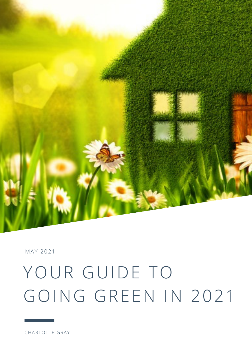

# MAY 2021

# YOUR GUIDE TO GOING GREEN IN 2021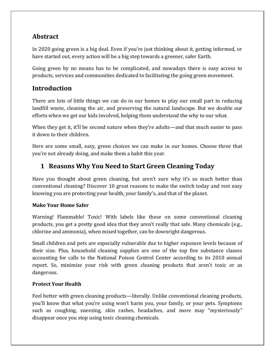# **Abstract**

In 2020 going green is a big deal. Even if you're just thinking about it, getting informed, or have started out, every action will be a big step towards a greener, safer Earth.

Going green by no means has to be complicated, and nowadays there is easy access to products, services and communities dedicated to facilitating the going green movement.

# **Introduction**

There are lots of little things we can do in our homes to play our small part in reducing landfill waste, cleaning the air, and preserving the natural landscape. But we double our efforts when we get our kids involved, helping them understand the why to our what.

When they get it, it'll be second nature when they're adults—and that much easier to pass it down to their children.

Here are some small, easy, green choices we can make in our homes. Choose three that you're not already doing, and make them a habit this year.

# **1 Reasons Why You Need to Start Green Cleaning Today**

Have you thought about green cleaning, but aren't sure why it's so much better than conventional cleaning? Discover 10 great reasons to make the switch today and rest easy knowing you are protecting your health, your family's, and that of the planet.

# **Make Your Home Safer**

Warning! Flammable! Toxic! With labels like these on some conventional cleaning products, you get a pretty good idea that they aren't really that safe. Many chemicals (e.g., chlorine and ammonia), when mixed together, can be downright dangerous.

Small children and pets are especially vulnerable due to higher exposure levels because of their size. Plus, household cleaning supplies are one of the top five substance classes accounting for calls to the National Poison Control Center according to its 2010 annual report. So, minimize your risk with green cleaning products that aren't toxic or as dangerous.

# **Protect Your Health**

Feel better with green cleaning products—literally. Unlike conventional cleaning products, you'll know that what you're using won't harm you, your family, or your pets. Symptoms such as coughing, sneezing, skin rashes, headaches, and more may "mysteriously" disappear once you stop using toxic cleaning chemicals.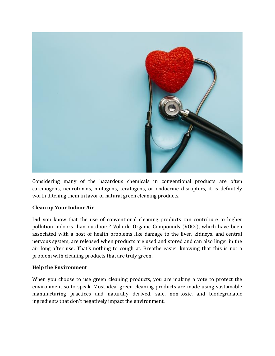

Considering many of the hazardous chemicals in conventional products are often carcinogens, neurotoxins, mutagens, teratogens, or endocrine disrupters, it is definitely worth ditching them in favor of natural green cleaning products.

### **Clean up Your Indoor Air**

Did you know that the use of conventional cleaning products can contribute to higher pollution indoors than outdoors? Volatile Organic Compounds (VOCs), which have been associated with a host of health problems like damage to the liver, kidneys, and central nervous system, are released when products are used and stored and can also linger in the air long after use. That's nothing to cough at. Breathe easier knowing that this is not a problem with cleaning products that are truly green.

### **Help the Environment**

When you choose to use green cleaning products, you are making a vote to protect the environment so to speak. Most ideal green cleaning products are made using sustainable manufacturing practices and naturally derived, safe, non-toxic, and biodegradable ingredients that don't negatively impact the environment.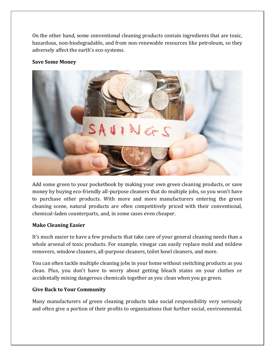On the other hand, some conventional cleaning products contain ingredients that are toxic, hazardous, non-biodegradable, and from non-renewable resources like petroleum, so they adversely affect the earth's eco-systems.

## **Save Some Money**



Add some green to your pocketbook by making your own green cleaning products, or save money by buying eco-friendly all-purpose cleaners that do multiple jobs, so you won't have to purchase other products. With more and more manufacturers entering the green cleaning scene, natural products are often competitively priced with their conventional, chemical-laden counterparts, and, in some cases even cheaper.

### **Make Cleaning Easier**

It's much easier to have a few products that take care of your general cleaning needs than a whole arsenal of toxic products. For example, vinegar can easily replace mold and mildew removers, window cleaners, all-purpose cleaners, toilet bowl cleaners, and more.

You can often tackle multiple cleaning jobs in your home without switching products as you clean. Plus, you don't have to worry about getting bleach stains on your clothes or accidentally mixing dangerous chemicals together as you clean when you go green.

## **Give Back to Your Community**

Many manufacturers of green cleaning products take social responsibility very seriously and often give a portion of their profits to organizations that further social, environmental,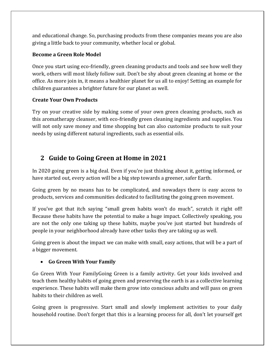and educational change. So, purchasing products from these companies means you are also giving a little back to your community, whether local or global.

# **Become a Green Role Model**

Once you start using eco-friendly, green cleaning products and tools and see how well they work, others will most likely follow suit. Don't be shy about green cleaning at home or the office. As more join in, it means a healthier planet for us all to enjoy! Setting an example for children guarantees a brighter future for our planet as well.

# **Create Your Own Products**

Try on your creative side by making some of your own green cleaning products, such as this aromatherapy cleanser, with eco-friendly green cleaning ingredients and supplies. You will not only save money and time shopping but can also customize products to suit your needs by using different natural ingredients, such as essential oils.

# **2 Guide to Going Green at Home in 2021**

In 2020 going green is a big deal. Even if you're just thinking about it, getting informed, or have started out, every action will be a big step towards a greener, safer Earth.

Going green by no means has to be complicated, and nowadays there is easy access to products, services and communities dedicated to facilitating the going green movement.

If you've got that itch saying "small green habits won't do much", scratch it right off! Because these habits have the potential to make a huge impact. Collectively speaking, you are not the only one taking up these habits, maybe you've just started but hundreds of people in your neighborhood already have other tasks they are taking up as well.

Going green is about the impact we can make with small, easy actions, that will be a part of a bigger movement.

# **Go Green With Your Family**

Go Green With Your FamilyGoing Green is a family activity. Get your kids involved and teach them healthy habits of going green and preserving the earth is as a collective learning experience. These habits will make them grow into conscious adults and will pass on green habits to their children as well.

Going green is progressive. Start small and slowly implement activities to your daily household routine. Don't forget that this is a learning process for all, don't let yourself get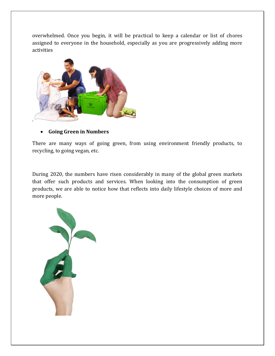overwhelmed. Once you begin, it will be practical to keep a calendar or list of chores assigned to everyone in the household, especially as you are progressively adding more activities



### **Going Green in Numbers**

There are many ways of going green, from using environment friendly products, to recycling, to going vegan, etc.

During 2020, the numbers have risen considerably in many of the global green markets that offer such products and services. When looking into the consumption of green products, we are able to notice how that reflects into daily lifestyle choices of more and more people.

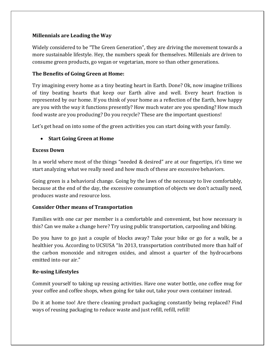# **Millennials are Leading the Way**

Widely considered to be "The Green Generation", they are driving the movement towards a more sustainable lifestyle. Hey, the numbers speak for themselves. Millenials are driven to consume green products, go vegan or vegetarian, more so than other generations.

# **The Benefits of Going Green at Home:**

Try imagining every home as a tiny beating heart in Earth. Done? Ok, now imagine trillions of tiny beating hearts that keep our Earth alive and well. Every heart fraction is represented by our home. If you think of your home as a reflection of the Earth, how happy are you with the way it functions presently? How much water are you spending? How much food waste are you producing? Do you recycle? These are the important questions!

Let's get head on into some of the green activities you can start doing with your family.

# **Start Going Green at Home**

### **Excess Down**

In a world where most of the things "needed & desired" are at our fingertips, it's time we start analyzing what we really need and how much of these are excessive behaviors.

Going green is a behavioral change. Going by the laws of the necessary to live comfortably, because at the end of the day, the excessive consumption of objects we don't actually need, produces waste and resource loss.

# **Consider Other means of Transportation**

Families with one car per member is a comfortable and convenient, but how necessary is this? Can we make a change here? Try using public transportation, carpooling and biking.

Do you have to go just a couple of blocks away? Take your bike or go for a walk, be a healthier you. According to UCSUSA "In 2013, transportation contributed more than half of the carbon monoxide and nitrogen oxides, and almost a quarter of the hydrocarbons emitted into our air."

# **Re-using Lifestyles**

Commit yourself to taking up reusing activities. Have one water bottle, one coffee mug for your coffee and coffee shops, when going for take out, take your own container instead.

Do it at home too! Are there cleaning product packaging constantly being replaced? Find ways of reusing packaging to reduce waste and just refill, refill, refill!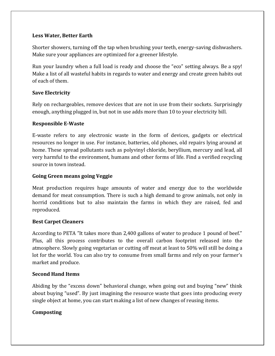# **Less Water, Better Earth**

Shorter showers, turning off the tap when brushing your teeth, energy-saving dishwashers. Make sure your appliances are optimized for a greener lifestyle.

Run your laundry when a full load is ready and choose the "eco" setting always. Be a spy! Make a list of all wasteful habits in regards to water and energy and create green habits out of each of them.

# **Save Electricity**

Rely on rechargeables, remove devices that are not in use from their sockets. Surprisingly enough, anything plugged in, but not in use adds more than 10 to your electricity bill.

# **Responsible E-Waste**

E-waste refers to any electronic waste in the form of devices, gadgets or electrical resources no longer in use. For instance, batteries, old phones, old repairs lying around at home. These spread pollutants such as polyvinyl chloride, beryllium, mercury and lead, all very harmful to the environment, humans and other forms of life. Find a verified recycling source in town instead.

## **Going Green means going Veggie**

Meat production requires huge amounts of water and energy due to the worldwide demand for meat consumption. There is such a high demand to grow animals, not only in horrid conditions but to also maintain the farms in which they are raised, fed and reproduced.

### **Best Carpet Cleaners**

According to PETA "It takes more than 2,400 gallons of water to produce 1 pound of beef." Plus, all this process contributes to the overall carbon footprint released into the atmosphere. Slowly going vegetarian or cutting off meat at least to 50% will still be doing a lot for the world. You can also try to consume from small farms and rely on your farmer's market and produce.

### **Second Hand Items**

Abiding by the "excess down" behavioral change, when going out and buying "new" think about buying "used". By just imagining the resource waste that goes into producing every single object at home, you can start making a list of new changes of reusing items.

# **Composting**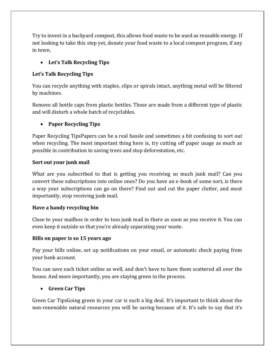Try to invest in a backyard compost, this allows food waste to be used as reusable energy. If not looking to take this step yet, donate your food waste to a local compost program, if any in town.

# **Let's Talk Recycling Tips**

# **Let's Talk Recycling Tips**

You can recycle anything with staples, clips or spirals intact, anything metal will be filtered by machines.

Remove all bottle caps from plastic bottles. These are made from a different type of plastic and will disturb a whole batch of recyclables.

# **Paper Recycling Tips**

Paper Recycling TipsPapers can be a real hassle and sometimes a bit confusing to sort out when recycling. The most important thing here is, try cutting off paper usage as much as possible in contribution to saving trees and stop deforestation, etc.

# **Sort out your junk mail**

What are you subscribed to that is getting you receiving so much junk mail? Can you convert these subscriptions into online ones? Do you have an e-book of some sort, is there a way your subscriptions can go on there? Find out and cut the paper clutter, and most importantly, stop receiving junk mail.

# **Have a handy recycling bin**

Close to your mailbox in order to toss junk mail in there as soon as you receive it. You can even keep it outside so that you're already separating your waste.

### **Bills on paper is so 15 years ago**

Pay your bills online, set up notifications on your email, or automatic check paying from your bank account.

You can save each ticket online as well, and don't have to have them scattered all over the house. And more importantly, you are staying green in the process.

# **Green Car Tips**

Green Car TipsGoing green in your car is such a big deal. It's important to think about the non-renewable natural resources you will be saving because of it. It's safe to say that it's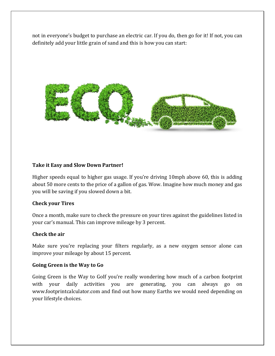not in everyone's budget to purchase an electric car. If you do, then go for it! If not, you can definitely add your little grain of sand and this is how you can start:



### **Take it Easy and Slow Down Partner!**

Higher speeds equal to higher gas usage. If you're driving 10mph above 60, this is adding about 50 more cents to the price of a gallon of gas. Wow. Imagine how much money and gas you will be saving if you slowed down a bit.

### **Check your Tires**

Once a month, make sure to check the pressure on your tires against the guidelines listed in your car's manual. This can improve mileage by 3 percent.

### **Check the air**

Make sure you're replacing your filters regularly, as a new oxygen sensor alone can improve your mileage by about 15 percent.

### **Going Green is the Way to Go**

Going Green is the Way to GoIf you're really wondering how much of a carbon footprint with your daily activities you are generating, you can always go on www.footprintcalculator.com and find out how many Earths we would need depending on your lifestyle choices.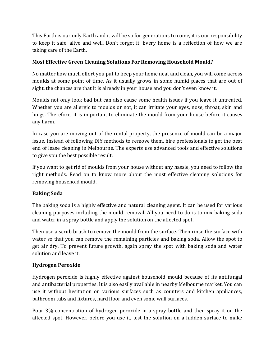This Earth is our only Earth and it will be so for generations to come, it is our responsibility to keep it safe, alive and well. Don't forget it. Every home is a reflection of how we are taking care of the Earth.

# **Most Effective Green Cleaning Solutions For Removing Household Mould?**

No matter how much effort you put to keep your home neat and clean, you will come across moulds at some point of time. As it usually grows in some humid places that are out of sight, the chances are that it is already in your house and you don't even know it.

Moulds not only look bad but can also cause some health issues if you leave it untreated. Whether you are allergic to moulds or not, it can irritate your eyes, nose, throat, skin and lungs. Therefore, it is important to eliminate the mould from your house before it causes any harm.

In case you are moving out of the rental property, the presence of mould can be a major issue. Instead of following DIY methods to remove them, hire professionals to get the best end of lease cleaning in Melbourne. The experts use advanced tools and effective solutions to give you the best possible result.

If you want to get rid of moulds from your house without any hassle, you need to follow the right methods. Read on to know more about the most effective cleaning solutions for removing household mould.

# **Baking Soda**

The baking soda is a highly effective and natural cleaning agent. It can be used for various cleaning purposes including the mould removal. All you need to do is to mix baking soda and water in a spray bottle and apply the solution on the affected spot.

Then use a scrub brush to remove the mould from the surface. Then rinse the surface with water so that you can remove the remaining particles and baking soda. Allow the spot to get air dry. To prevent future growth, again spray the spot with baking soda and water solution and leave it.

### **Hydrogen Peroxide**

Hydrogen peroxide is highly effective against household mould because of its antifungal and antibacterial properties. It is also easily available in nearby Melbourne market. You can use it without hesitation on various surfaces such as counters and kitchen appliances, bathroom tubs and fixtures, hard floor and even some wall surfaces.

Pour 3% concentration of hydrogen peroxide in a spray bottle and then spray it on the affected spot. However, before you use it, test the solution on a hidden surface to make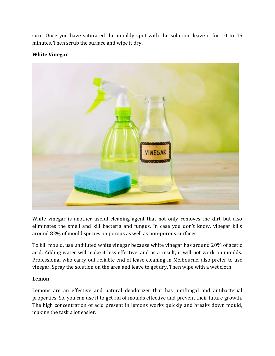sure. Once you have saturated the mouldy spot with the solution, leave it for 10 to 15 minutes. Then scrub the surface and wipe it dry.

#### **White Vinegar**



White vinegar is another useful cleaning agent that not only removes the dirt but also eliminates the smell and kill bacteria and fungus. In case you don't know, vinegar kills around 82% of mould species on porous as well as non-porous surfaces.

To kill mould, use undiluted white vinegar because white vinegar has around 20% of acetic acid. Adding water will make it less effective, and as a result, it will not work on moulds. Professional who carry out reliable end of lease cleaning in Melbourne, also prefer to use vinegar. Spray the solution on the area and leave to get dry. Then wipe with a wet cloth.

### **Lemon**

Lemons are an effective and natural deodorizer that has antifungal and antibacterial properties. So, you can use it to get rid of moulds effective and prevent their future growth. The high concentration of acid present in lemons works quickly and breaks down mould, making the task a lot easier.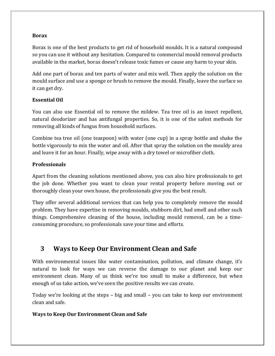#### **Borax**

Borax is one of the best products to get rid of household moulds. It is a natural compound so you can use it without any hesitation. Compared to commercial mould removal products available in the market, borax doesn't release toxic fumes or cause any harm to your skin.

Add one part of borax and ten parts of water and mix well. Then apply the solution on the mould surface and use a sponge or brush to remove the mould. Finally, leave the surface so it can get dry.

# **Essential Oil**

You can also use Essential oil to remove the mildew. Tea tree oil is an insect repellent, natural deodorizer and has antifungal properties. So, it is one of the safest methods for removing all kinds of fungus from household surfaces.

Combine tea tree oil (one teaspoon) with water (one cup) in a spray bottle and shake the bottle vigorously to mix the water and oil. After that spray the solution on the mouldy area and leave it for an hour. Finally, wipe away with a dry towel or microfiber cloth.

# **Professionals**

Apart from the cleaning solutions mentioned above, you can also hire professionals to get the job done. Whether you want to clean your rental property before moving out or thoroughly clean your own house, the professionals give you the best result.

They offer several additional services that can help you to completely remove the mould problem. They have expertise in removing moulds, stubborn dirt, bad smell and other such things. Comprehensive cleaning of the house, including mould removal, can be a timeconsuming procedure, so professionals save your time and efforts.

# **3 Ways to Keep Our Environment Clean and Safe**

With environmental issues like water contamination, pollution, and climate change, it's natural to look for ways we can reverse the damage to our planet and keep our environment clean. Many of us think we're too small to make a difference, but when enough of us take action, we've seen the positive results we can create.

Today we're looking at the steps – big and small – you can take to keep our environment clean and safe.

# **Ways to Keep Our Environment Clean and Safe**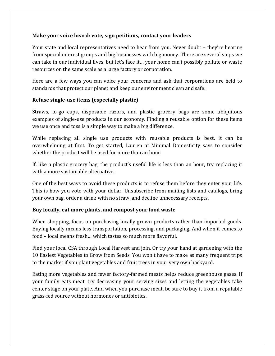## **Make your voice heard: vote, sign petitions, contact your leaders**

Your state and local representatives need to hear from you. Never doubt – they're hearing from special interest groups and big businesses with big money. There are several steps we can take in our individual lives, but let's face it… your home can't possibly pollute or waste resources on the same scale as a large factory or corporation.

Here are a few ways you can voice your concerns and ask that corporations are held to standards that protect our planet and keep our environment clean and safe:

# **Refuse single-use items (especially plastic)**

Straws, to-go cups, disposable razors, and plastic grocery bags are some ubiquitous examples of single-use products in our economy. Finding a reusable option for these items we use once and toss is a simple way to make a big difference.

While replacing all single use products with reusable products is best, it can be overwhelming at first. To get started, Lauren at Minimal Domesticity says to consider whether the product will be used for more than an hour.

If, like a plastic grocery bag, the product's useful life is less than an hour, try replacing it with a more sustainable alternative.

One of the best ways to avoid these products is to refuse them before they enter your life. This is how you vote with your dollar. Unsubscribe from mailing lists and catalogs, bring your own bag, order a drink with no straw, and decline unnecessary receipts.

### **Buy locally, eat more plants, and compost your food waste**

When shopping, focus on purchasing locally grown products rather than imported goods. Buying locally means less transportation, processing, and packaging. And when it comes to food – local means fresh… which tastes so much more flavorful.

Find your local CSA through Local Harvest and join. Or try your hand at gardening with the 10 Easiest Vegetables to Grow from Seeds. You won't have to make as many frequent trips to the market if you plant vegetables and fruit trees in your very own backyard.

Eating more vegetables and fewer factory-farmed meats helps reduce greenhouse gases. If your family eats meat, try decreasing your serving sizes and letting the vegetables take center stage on your plate. And when you purchase meat, be sure to buy it from a reputable grass-fed source without hormones or antibiotics.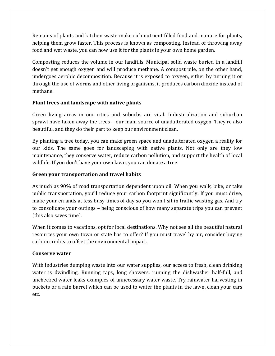Remains of plants and kitchen waste make rich nutrient filled food and manure for plants, helping them grow faster. This process is known as composting. Instead of throwing away food and wet waste, you can now use it for the plants in your own home garden.

Composting reduces the volume in our landfills. Municipal solid waste buried in a landfill doesn't get enough oxygen and will produce methane. A compost pile, on the other hand, undergoes aerobic decomposition. Because it is exposed to oxygen, either by turning it or through the use of worms and other living organisms, it produces carbon dioxide instead of methane.

# **Plant trees and landscape with native plants**

Green living areas in our cities and suburbs are vital. Industrialization and suburban sprawl have taken away the trees – our main source of unadulterated oxygen. They're also beautiful, and they do their part to keep our environment clean.

By planting a tree today, you can make green space and unadulterated oxygen a reality for our kids. The same goes for landscaping with native plants. Not only are they low maintenance, they conserve water, reduce carbon pollution, and support the health of local wildlife. If you don't have your own lawn, you can donate a tree.

# **Green your transportation and travel habits**

As much as 90% of road transportation dependent upon oil. When you walk, bike, or take public transportation, you'll reduce your carbon footprint significantly. If you must drive, make your errands at less busy times of day so you won't sit in traffic wasting gas. And try to consolidate your outings – being conscious of how many separate trips you can prevent (this also saves time).

When it comes to vacations, opt for local destinations. Why not see all the beautiful natural resources your own town or state has to offer? If you must travel by air, consider buying carbon credits to offset the environmental impact.

### **Conserve water**

With industries dumping waste into our water supplies, our access to fresh, clean drinking water is dwindling. Running taps, long showers, running the dishwasher half-full, and unchecked water leaks examples of unnecessary water waste. Try rainwater harvesting in buckets or a rain barrel which can be used to water the plants in the lawn, clean your cars etc.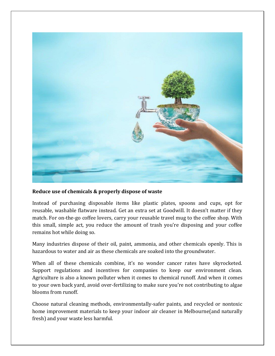

### **Reduce use of chemicals & properly dispose of waste**

Instead of purchasing disposable items like plastic plates, spoons and cups, opt for reusable, washable flatware instead. Get an extra set at Goodwill. It doesn't matter if they match. For on-the-go coffee lovers, carry your reusable travel mug to the coffee shop. With this small, simple act, you reduce the amount of trash you're disposing and your coffee remains hot while doing so.

Many industries dispose of their oil, paint, ammonia, and other chemicals openly. This is hazardous to water and air as these chemicals are soaked into the groundwater.

When all of these chemicals combine, it's no wonder cancer rates have skyrocketed. Support regulations and incentives for companies to keep our environment clean. Agriculture is also a known polluter when it comes to chemical runoff. And when it comes to your own back yard, avoid over-fertilizing to make sure you're not contributing to algae blooms from runoff.

Choose natural cleaning methods, environmentally-safer paints, and recycled or nontoxic home improvement materials to keep your indoor air cleaner in Melbourne(and naturally fresh) and your waste less harmful.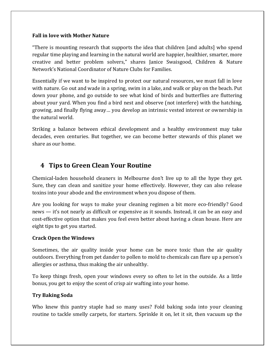### **Fall in love with Mother Nature**

"There is mounting research that supports the idea that children [and adults] who spend regular time playing and learning in the natural world are happier, healthier, smarter, more creative and better problem solvers," shares Janice Swaisgood, Children & Nature Network's National Coordinator of Nature Clubs for Families.

Essentially if we want to be inspired to protect our natural resources, we must fall in love with nature. Go out and wade in a spring, swim in a lake, and walk or play on the beach. Put down your phone, and go outside to see what kind of birds and butterflies are fluttering about your yard. When you find a bird nest and observe (not interfere) with the hatching, growing, and finally flying away… you develop an intrinsic vested interest or ownership in the natural world.

Striking a balance between ethical development and a healthy environment may take decades, even centuries. But together, we can become better stewards of this planet we share as our home.

# **4 Tips to Green Clean Your Routine**

Chemical-laden household cleaners in Melbourne don't live up to all the hype they get. Sure, they can clean and sanitize your home effectively. However, they can also release toxins into your abode and the environment when you dispose of them.

Are you looking for ways to make your cleaning regimen a bit more eco-friendly? Good news — it's not nearly as difficult or expensive as it sounds. Instead, it can be an easy and cost-effective option that makes you feel even better about having a clean house. Here are eight tips to get you started.

### **Crack Open the Windows**

Sometimes, the air quality inside your home can be more toxic than the air quality outdoors. Everything from pet dander to pollen to mold to chemicals can flare up a person's allergies or asthma, thus making the air unhealthy.

To keep things fresh, open your windows every so often to let in the outside. As a little bonus, you get to enjoy the scent of crisp air wafting into your home.

### **Try Baking Soda**

Who knew this pantry staple had so many uses? Fold baking soda into your cleaning routine to tackle smelly carpets, for starters. Sprinkle it on, let it sit, then vacuum up the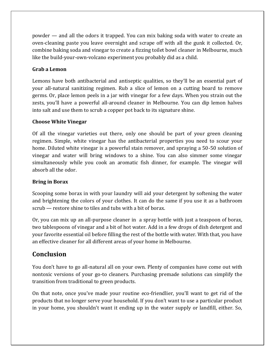powder — and all the odors it trapped. You can mix baking soda with water to create an oven-cleaning paste you leave overnight and scrape off with all the gunk it collected. Or, combine baking soda and vinegar to create a fizzing toilet bowl cleaner in Melbourne, much like the build-your-own-volcano experiment you probably did as a child.

# **Grab a Lemon**

Lemons have both antibacterial and antiseptic qualities, so they'll be an essential part of your all-natural sanitizing regimen. Rub a slice of lemon on a cutting board to remove germs. Or, place lemon peels in a jar with vinegar for a few days. When you strain out the zests, you'll have a powerful all-around cleaner in Melbourne. You can dip lemon halves into salt and use them to scrub a copper pot back to its signature shine.

# **Choose White Vinegar**

Of all the vinegar varieties out there, only one should be part of your green cleaning regimen. Simple, white vinegar has the antibacterial properties you need to scour your home. Diluted white vinegar is a powerful stain remover, and spraying a 50-50 solution of vinegar and water will bring windows to a shine. You can also simmer some vinegar simultaneously while you cook an aromatic fish dinner, for example. The vinegar will absorb all the odor.

# **Bring in Borax**

Scooping some borax in with your laundry will aid your detergent by softening the water and brightening the colors of your clothes. It can do the same if you use it as a bathroom scrub — restore shine to tiles and tubs with a bit of borax.

Or, you can mix up an all-purpose cleaner in a spray bottle with just a teaspoon of borax, two tablespoons of vinegar and a bit of hot water. Add in a few drops of dish detergent and your favorite essential oil before filling the rest of the bottle with water. With that, you have an effective cleaner for all different areas of your home in Melbourne.

# **Conclusion**

You don't have to go all-natural all on your own. Plenty of companies have come out with nontoxic versions of your go-to cleaners. Purchasing premade solutions can simplify the transition from traditional to green products.

On that note, once you've made your routine eco-friendlier, you'll want to get rid of the products that no longer serve your household. If you don't want to use a particular product in your home, you shouldn't want it ending up in the water supply or landfill, either. So,